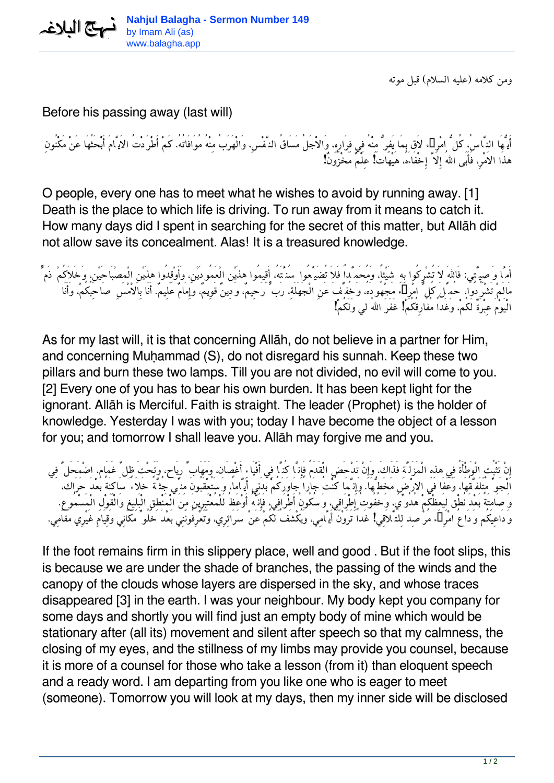

*ومن كلامه (عليه السلام) قبل موته*

## Before his passing away (last will)

*أَيُّهَا النَّاس،ُ كُلُّ امْرِىء لاَق بِمَا يَفِرُّ مِنْهُ فِي فِرَارِه،ِ وَالاْجَلُ مَسَاقُ النَّفْس،ِ وَالْهَرَبُ مِنْهُ مُوَافَاتُه.ُ كَمْ أَطْرَدْتُ الاَيَّامَ أَبْحَثُهَا عَنْ مَكْنُونِ هذَا الاَمْر،ِ فَأَبَى االلهُ إِلاَّ إِخْفَاءَه،ُ هَيْهَاتَ! عِلْمٌ مَخْزُونٌ!*

O people, every one has to meet what he wishes to avoid by running away. [1] Death is the place to which life is driving. To run away from it means to catch it. How many days did I spent in searching for the secret of this matter, but Allāh did not allow save its concealment. Alas! It is a treasured knowledge.

*أَمَّا وَصِيَّتِي: فَااللهَ لاَ تُشْرِكُوا بِهِ شَيْئا،ً وَمُحَمَّداً فَلاَ تُضَيِّعُوا سُنَّتَه،ُ أَقِيمُوا هذَيْن الْعَمُودَيْن،ِ وَأَوْقِدُوا هذَيْنِ الْمِصْبَاحَيْن،ِ وَخَلاَكُمْ ذَمٌّ مَالَمْ تَشْرُدُوا، حُمِّلَ كُلُّ امْرِىء مَجْهُودَه،ُ وَخُفِّفَ عَنِ الْجَهَلَة،ِ رَبٌّ رَحِيم،ٌ وَدِينٌ قَوِيم،ٌ وَإِمَامٌ عَلِيم.ٌ أَنَا بِالاْمْسِ صَاحِبُكُم،ْ وَأَنَا الْيَوْمَ عِبْرَةٌ لَكُم،ْ وَغَداً مُفَارِقُكُمْ! غَفَرَ االلهُ لي وَلَكُمْ!*

As for my last will, it is that concerning Allāh, do not believe in a partner for Him, and concerning Muḥammad (S), do not disregard his sunnah. Keep these two pillars and burn these two lamps. Till you are not divided, no evil will come to you. [2] Every one of you has to bear his own burden. It has been kept light for the ignorant. Allāh is Merciful. Faith is straight. The leader (Prophet) is the holder of knowledge. Yesterday I was with you; today I have become the object of a lesson for you; and tomorrow I shall leave you. Allāh may forgive me and you.

*إِنْ تَثْبُتِ الْوَطْأَةُ فِي هذِهِ الْمَزَلَّةِ فَذَاك،َ وَإِنْ تَدْحَضِ الْقَدَمُ فَإِنَّا كُنَّا فِي أَفْيَاءِ أَغْصَان، وَمَهَابِّ رِيَاح، وَتَحْتَ ظِلِّ غَمَام، اضْمَحَلَّ فِي الْجَوِّ مُتَلَفَّقُهَا، وَعَفَا في الارْضِ مَخَطُّهَا. وَإِنَّمَا كُنْتُ جَاراً جَاوَرَكُمْ بَدَنِي أَيَّاما،ً وَسَتُعْقَبُونَ مِنِّي جُثَّةً خَلاَءً سَاكِنَةً بَعْدَ حَرَاك، وَصَامِتَةً بَعْدَ نُطْق لِيَعِظْكُمْ هُدُوِّي، وَخُفُوتُ إِطْرَاقِي، وَسُكُونُ أَطْرَافِي، فَإِنَّهُ أَوْعَظُ لَلْمُعْتَبِرِينَ مِنَ الْمَنْطِقِ الْبَلِيغِ وَالْقَوْلِ الْمَسْمُوع.ِ وَدَاعِيكُم وَدَاعُ امْرِىء مُرْصِد لِلتَّلاَقِي! غَداً تَرَوْنَ أَيَّامِي، وَيُكْشَفُ لَكُمْ عَنْ سَرَائِرِي، وَتَعْرِفُونَنِي بَعْدَ خُلُوِّ مَكَانِي وَقِيَامِ غَيْرِي مَقَامِي.*

If the foot remains firm in this slippery place, well and good . But if the foot slips, this is because we are under the shade of branches, the passing of the winds and the canopy of the clouds whose layers are dispersed in the sky, and whose traces disappeared [3] in the earth. I was your neighbour. My body kept you company for some days and shortly you will find just an empty body of mine which would be stationary after (all its) movement and silent after speech so that my calmness, the closing of my eyes, and the stillness of my limbs may provide you counsel, because it is more of a counsel for those who take a lesson (from it) than eloquent speech and a ready word. I am departing from you like one who is eager to meet (someone). Tomorrow you will look at my days, then my inner side will be disclosed